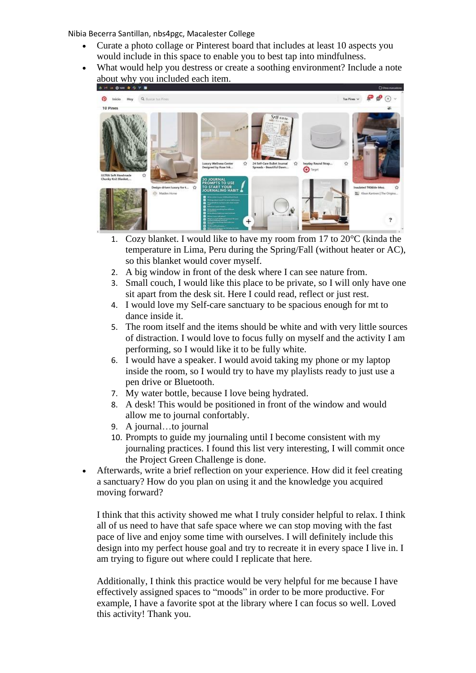Nibia Becerra Santillan, nbs4pgc, Macalester College

- Curate a photo collage or Pinterest board that includes at least 10 aspects you would include in this space to enable you to best tap into mindfulness.
- What would help you destress or create a soothing environment? Include a note about why you included each item.



- 1. Cozy blanket. I would like to have my room from 17 to  $20^{\circ}$ C (kinda the temperature in Lima, Peru during the Spring/Fall (without heater or AC), so this blanket would cover myself.
- 2. A big window in front of the desk where I can see nature from.
- 3. Small couch, I would like this place to be private, so I will only have one sit apart from the desk sit. Here I could read, reflect or just rest.
- 4. I would love my Self-care sanctuary to be spacious enough for mt to dance inside it.
- 5. The room itself and the items should be white and with very little sources of distraction. I would love to focus fully on myself and the activity I am performing, so I would like it to be fully white.
- 6. I would have a speaker. I would avoid taking my phone or my laptop inside the room, so I would try to have my playlists ready to just use a pen drive or Bluetooth.
- 7. My water bottle, because I love being hydrated.
- 8. A desk! This would be positioned in front of the window and would allow me to journal confortably.
- 9. A journal…to journal
- 10. Prompts to guide my journaling until I become consistent with my journaling practices. I found this list very interesting, I will commit once the Project Green Challenge is done.
- Afterwards, write a brief reflection on your experience. How did it feel creating a sanctuary? How do you plan on using it and the knowledge you acquired moving forward?

I think that this activity showed me what I truly consider helpful to relax. I think all of us need to have that safe space where we can stop moving with the fast pace of live and enjoy some time with ourselves. I will definitely include this design into my perfect house goal and try to recreate it in every space I live in. I am trying to figure out where could I replicate that here.

Additionally, I think this practice would be very helpful for me because I have effectively assigned spaces to "moods" in order to be more productive. For example, I have a favorite spot at the library where I can focus so well. Loved this activity! Thank you.